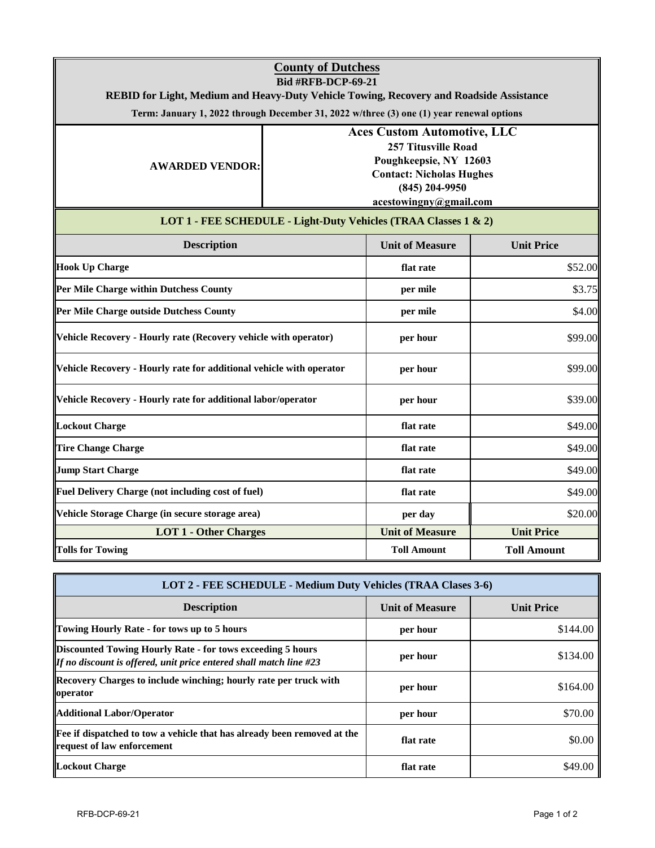|                                                                                                                                                                                     | <b>County of Dutchess</b>                  |                                                                  |                          |  |  |
|-------------------------------------------------------------------------------------------------------------------------------------------------------------------------------------|--------------------------------------------|------------------------------------------------------------------|--------------------------|--|--|
| <b>Bid #RFB-DCP-69-21</b>                                                                                                                                                           |                                            |                                                                  |                          |  |  |
| REBID for Light, Medium and Heavy-Duty Vehicle Towing, Recovery and Roadside Assistance<br>Term: January 1, 2022 through December 31, 2022 w/three (3) one (1) year renewal options |                                            |                                                                  |                          |  |  |
|                                                                                                                                                                                     |                                            |                                                                  |                          |  |  |
|                                                                                                                                                                                     |                                            | <b>Aces Custom Automotive, LLC</b><br><b>257 Titusville Road</b> |                          |  |  |
| <b>AWARDED VENDOR:</b>                                                                                                                                                              |                                            | Poughkeepsie, NY 12603                                           |                          |  |  |
|                                                                                                                                                                                     | <b>Contact: Nicholas Hughes</b>            |                                                                  |                          |  |  |
|                                                                                                                                                                                     | $(845)$ 204-9950<br>acestowingny@gmail.com |                                                                  |                          |  |  |
|                                                                                                                                                                                     |                                            | LOT 1 - FEE SCHEDULE - Light-Duty Vehicles (TRAA Classes 1 & 2)  |                          |  |  |
| <b>Description</b>                                                                                                                                                                  |                                            | <b>Unit of Measure</b>                                           | <b>Unit Price</b>        |  |  |
| <b>Hook Up Charge</b>                                                                                                                                                               |                                            | flat rate                                                        | \$52.00                  |  |  |
| Per Mile Charge within Dutchess County                                                                                                                                              |                                            | per mile                                                         | \$3.75                   |  |  |
| Per Mile Charge outside Dutchess County                                                                                                                                             |                                            | per mile                                                         | \$4.00                   |  |  |
| Vehicle Recovery - Hourly rate (Recovery vehicle with operator)                                                                                                                     |                                            | per hour                                                         | \$99.00                  |  |  |
| Vehicle Recovery - Hourly rate for additional vehicle with operator                                                                                                                 |                                            | per hour                                                         | \$99.00                  |  |  |
| Vehicle Recovery - Hourly rate for additional labor/operator                                                                                                                        |                                            | per hour                                                         | \$39.00                  |  |  |
| <b>Lockout Charge</b>                                                                                                                                                               |                                            | flat rate                                                        | \$49.00                  |  |  |
| <b>Tire Change Charge</b>                                                                                                                                                           |                                            | flat rate                                                        | \$49.00                  |  |  |
| <b>Jump Start Charge</b>                                                                                                                                                            |                                            | flat rate                                                        | \$49.00                  |  |  |
| Fuel Delivery Charge (not including cost of fuel)                                                                                                                                   |                                            | flat rate                                                        | \$49.00                  |  |  |
| Vehicle Storage Charge (in secure storage area)                                                                                                                                     |                                            | per day                                                          | \$20.00                  |  |  |
| <b>LOT 1 - Other Charges</b>                                                                                                                                                        |                                            | <b>Unit of Measure</b>                                           | <b>Unit Price</b>        |  |  |
| <b>Tolls for Towing</b>                                                                                                                                                             |                                            | <b>Toll Amount</b>                                               | <b>Toll Amount</b>       |  |  |
| LOT 2 - FEE SCHEDULE - Medium Duty Vehicles (TRAA Clases 3-6)                                                                                                                       |                                            |                                                                  |                          |  |  |
| Docorintion                                                                                                                                                                         |                                            | $\overline{\text{Unit of }}\text{Monome}$                        | $\overline{\text{Unit}}$ |  |  |

| <b>Description</b>                                                                                                                      | <b>Unit of Measure</b> | <b>Unit Price</b> |  |
|-----------------------------------------------------------------------------------------------------------------------------------------|------------------------|-------------------|--|
| <b>Towing Hourly Rate - for tows up to 5 hours</b>                                                                                      | per hour               | \$144.00          |  |
| Discounted Towing Hourly Rate - for tows exceeding 5 hours<br><b>If no discount is offered, unit price entered shall match line #23</b> | per hour               | \$134.00          |  |
| Recovery Charges to include winching; hourly rate per truck with<br>operator                                                            | per hour               | \$164.00          |  |
| Additional Labor/Operator                                                                                                               | per hour               | \$70.00           |  |
| <b>Fee if dispatched to tow a vehicle that has already been removed at the</b><br>request of law enforcement                            | flat rate              | \$0.00            |  |
| <b>Lockout Charge</b>                                                                                                                   | flat rate              | \$49.00           |  |